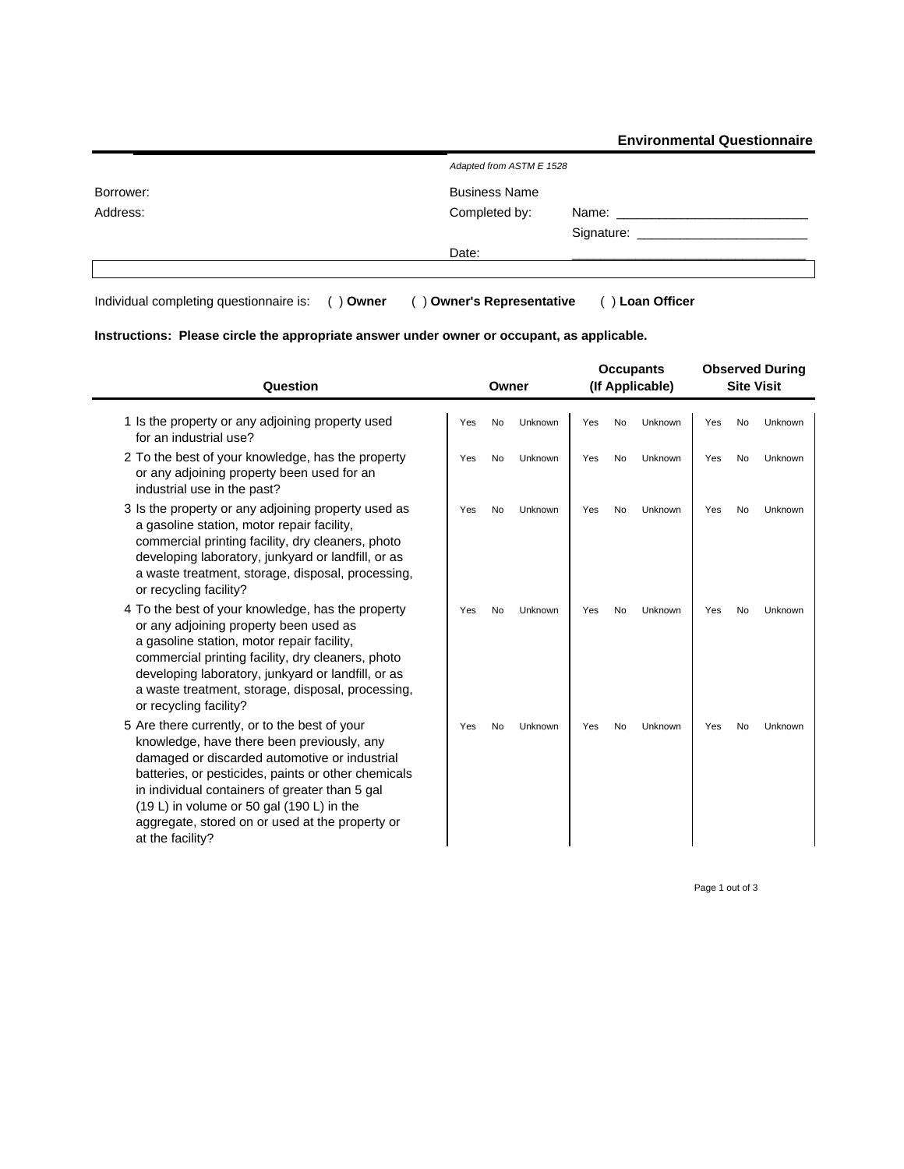**Environmental Questionnaire**

|           | Adapted from ASTM E 1528 |             |
|-----------|--------------------------|-------------|
| Borrower: | <b>Business Name</b>     |             |
| Address:  | Completed by:            | Name: Name: |
|           |                          |             |
|           | Date:                    |             |
|           |                          |             |

Individual completing questionnaire is: ( ) **Owner** ( ) **Owner's Representative** ( ) **Loan Officer**

## **Instructions: Please circle the appropriate answer under owner or occupant, as applicable.**

| Question                                                                                                                                                                                                                                                                                                                                                                  | Owner                       | <b>Occupants</b><br>(If Applicable) | <b>Observed During</b><br><b>Site Visit</b> |  |  |  |
|---------------------------------------------------------------------------------------------------------------------------------------------------------------------------------------------------------------------------------------------------------------------------------------------------------------------------------------------------------------------------|-----------------------------|-------------------------------------|---------------------------------------------|--|--|--|
| 1 Is the property or any adjoining property used<br>for an industrial use?                                                                                                                                                                                                                                                                                                | <b>No</b><br>Unknown<br>Yes | <b>No</b><br>Unknown<br>Yes         | <b>No</b><br>Unknown<br>Yes                 |  |  |  |
| 2 To the best of your knowledge, has the property<br>or any adjoining property been used for an<br>industrial use in the past?                                                                                                                                                                                                                                            | Yes<br><b>No</b><br>Unknown | <b>No</b><br>Unknown<br>Yes         | Yes<br><b>No</b><br>Unknown                 |  |  |  |
| 3 Is the property or any adjoining property used as<br>a gasoline station, motor repair facility,<br>commercial printing facility, dry cleaners, photo<br>developing laboratory, junkyard or landfill, or as<br>a waste treatment, storage, disposal, processing,<br>or recycling facility?                                                                               | Yes<br><b>No</b><br>Unknown | <b>No</b><br>Unknown<br>Yes         | <b>No</b><br>Unknown<br>Yes                 |  |  |  |
| 4 To the best of your knowledge, has the property<br>or any adjoining property been used as<br>a gasoline station, motor repair facility,<br>commercial printing facility, dry cleaners, photo<br>developing laboratory, junkyard or landfill, or as<br>a waste treatment, storage, disposal, processing,<br>or recycling facility?                                       | Yes<br>No<br>Unknown        | Yes<br>No<br>Unknown                | Yes<br>No<br>Unknown                        |  |  |  |
| 5 Are there currently, or to the best of your<br>knowledge, have there been previously, any<br>damaged or discarded automotive or industrial<br>batteries, or pesticides, paints or other chemicals<br>in individual containers of greater than 5 gal<br>(19 L) in volume or 50 gal (190 L) in the<br>aggregate, stored on or used at the property or<br>at the facility? | <b>No</b><br>Unknown<br>Yes | <b>No</b><br>Unknown<br>Yes         | <b>No</b><br>Yes<br>Unknown                 |  |  |  |

Page 1 out of 3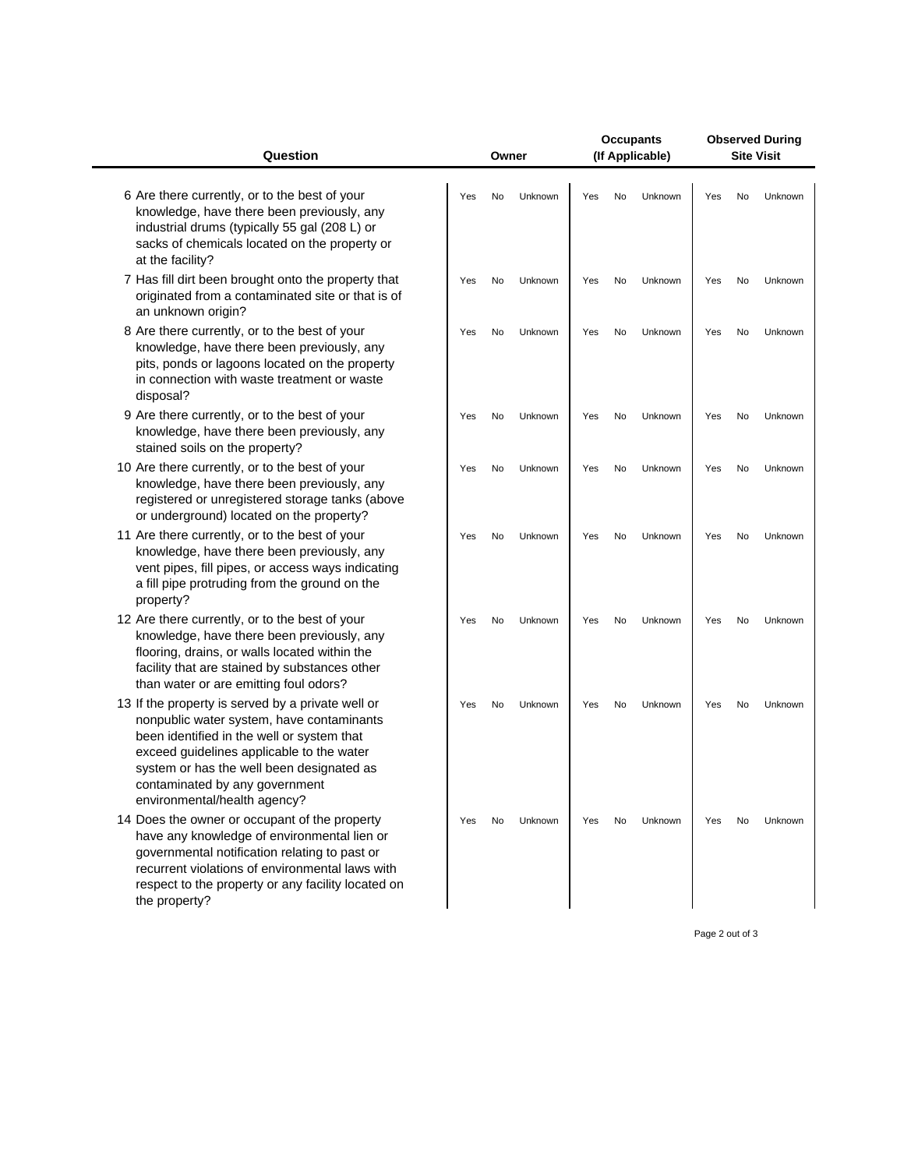| Question                                                                                                                                                                                                                                                                                                 | Owner |    |         | <b>Occupants</b><br>(If Applicable) |    |         | <b>Observed During</b><br><b>Site Visit</b> |           |         |  |
|----------------------------------------------------------------------------------------------------------------------------------------------------------------------------------------------------------------------------------------------------------------------------------------------------------|-------|----|---------|-------------------------------------|----|---------|---------------------------------------------|-----------|---------|--|
| 6 Are there currently, or to the best of your<br>knowledge, have there been previously, any<br>industrial drums (typically 55 gal (208 L) or<br>sacks of chemicals located on the property or<br>at the facility?                                                                                        | Yes   | No | Unknown | Yes                                 | No | Unknown | Yes                                         | No        | Unknown |  |
| 7 Has fill dirt been brought onto the property that<br>originated from a contaminated site or that is of<br>an unknown origin?                                                                                                                                                                           | Yes   | No | Unknown | Yes                                 | No | Unknown | Yes                                         | No        | Unknown |  |
| 8 Are there currently, or to the best of your<br>knowledge, have there been previously, any<br>pits, ponds or lagoons located on the property<br>in connection with waste treatment or waste<br>disposal?                                                                                                | Yes   | No | Unknown | Yes                                 | No | Unknown | Yes                                         | <b>No</b> | Unknown |  |
| 9 Are there currently, or to the best of your<br>knowledge, have there been previously, any<br>stained soils on the property?                                                                                                                                                                            | Yes   | No | Unknown | Yes                                 | No | Unknown | Yes                                         | No        | Unknown |  |
| 10 Are there currently, or to the best of your<br>knowledge, have there been previously, any<br>registered or unregistered storage tanks (above<br>or underground) located on the property?                                                                                                              | Yes   | No | Unknown | Yes                                 | No | Unknown | Yes                                         | No        | Unknown |  |
| 11 Are there currently, or to the best of your<br>knowledge, have there been previously, any<br>vent pipes, fill pipes, or access ways indicating<br>a fill pipe protruding from the ground on the<br>property?                                                                                          | Yes   | No | Unknown | Yes                                 | No | Unknown | Yes                                         | No        | Unknown |  |
| 12 Are there currently, or to the best of your<br>knowledge, have there been previously, any<br>flooring, drains, or walls located within the<br>facility that are stained by substances other<br>than water or are emitting foul odors?                                                                 | Yes   | No | Unknown | Yes                                 | No | Unknown | Yes                                         | No        | Unknown |  |
| 13 If the property is served by a private well or<br>nonpublic water system, have contaminants<br>been identified in the well or system that<br>exceed guidelines applicable to the water<br>system or has the well been designated as<br>contaminated by any government<br>environmental/health agency? | Yes   | No | Unknown | Yes                                 | No | Unknown | Yes                                         | No        | Unknown |  |
| 14 Does the owner or occupant of the property<br>have any knowledge of environmental lien or<br>governmental notification relating to past or<br>recurrent violations of environmental laws with<br>respect to the property or any facility located on<br>the property?                                  | Yes   | No | Unknown | Yes                                 | No | Unknown | Yes                                         | No        | Unknown |  |

Page 2 out of 3